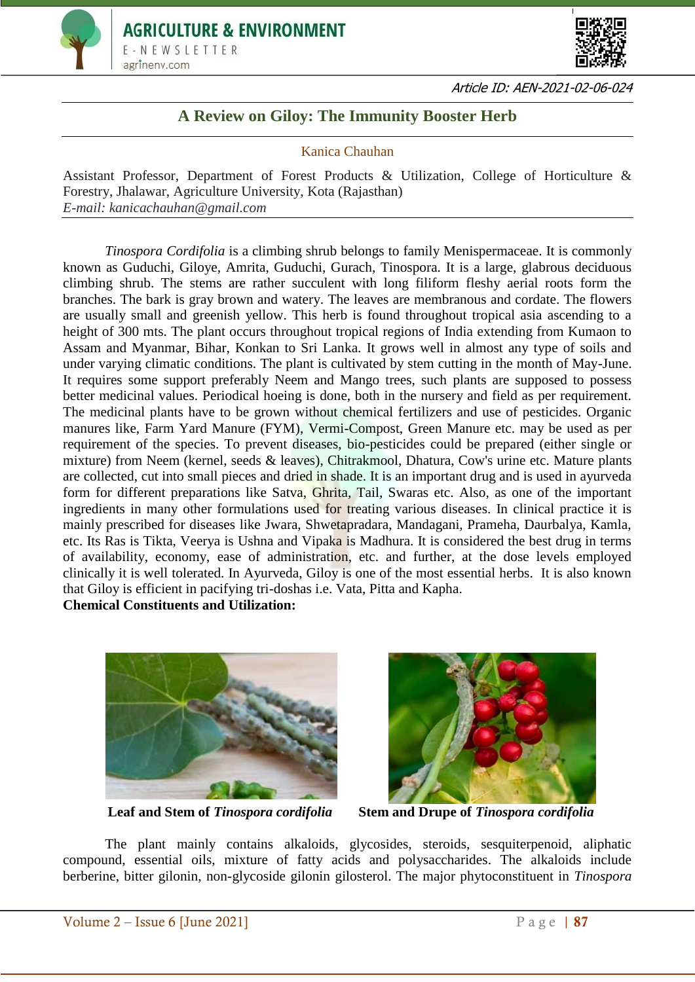



Article ID: AEN-2021-02-06-024

## **A Review on Giloy: The Immunity Booster Herb**

Kanica Chauhan

Assistant Professor, Department of Forest Products & Utilization, College of Horticulture & Forestry, Jhalawar, Agriculture University, Kota (Rajasthan) *E-mail: kanicachauhan@gmail.com*

*Tinospora Cordifolia* is a climbing shrub belongs to family Menispermaceae. It is commonly known as Guduchi, Giloye, Amrita, Guduchi, Gurach, Tinospora. It is a large, glabrous deciduous climbing shrub. The stems are rather succulent with long filiform fleshy aerial roots form the branches. The bark is gray brown and watery. The leaves are membranous and cordate. The flowers are usually small and greenish yellow. This herb is found throughout tropical asia ascending to a height of 300 mts. The plant occurs throughout tropical regions of India extending from Kumaon to Assam and Myanmar, Bihar, Konkan to Sri Lanka. It grows well in almost any type of soils and under varying climatic conditions. The plant is cultivated by stem cutting in the month of May-June. It requires some support preferably Neem and Mango trees, such plants are supposed to possess better medicinal values. Periodical hoeing is done, both in the nursery and field as per requirement. The medicinal plants have to be grown without chemical fertilizers and use of pesticides. Organic manures like, Farm Yard Manure (FYM), Vermi-Compost, Green Manure etc. may be used as per requirement of the species. To prevent diseases, bio-pesticides could be prepared (either single or mixture) from Neem (kernel, seeds & leaves), Chitrakmool, Dhatura, Cow's urine etc. Mature plants are collected, cut into small pieces and dried in shade. It is an important drug and is used in ayurveda form for different preparations like Satva, Ghrita, Tail, Swaras etc. Also, as one of the important ingredients in many other formulations used for treating various diseases. In clinical practice it is mainly prescribed for diseases like Jwara, Shwetapradara, Mandagani, Prameha, Daurbalya, Kamla, etc. Its Ras is Tikta, Veerya is Ushna and Vipaka is Madhura. It is considered the best drug in terms of availability, economy, ease of administration, etc. and further, at the dose levels employed clinically it is well tolerated. In Ayurveda, Giloy is one of the most essential herbs. It is also known that Giloy is efficient in pacifying tri-doshas i.e. Vata, Pitta and Kapha.

**Chemical Constituents and Utilization:**





**Leaf and Stem of** *Tinospora cordifolia* **Stem and Drupe of** *Tinospora cordifolia*

The plant mainly contains alkaloids, glycosides, steroids, sesquiterpenoid, aliphatic compound, essential oils, mixture of fatty acids and polysaccharides. The alkaloids include berberine, bitter gilonin, non-glycoside gilonin gilosterol. The major phytoconstituent in *Tinospora*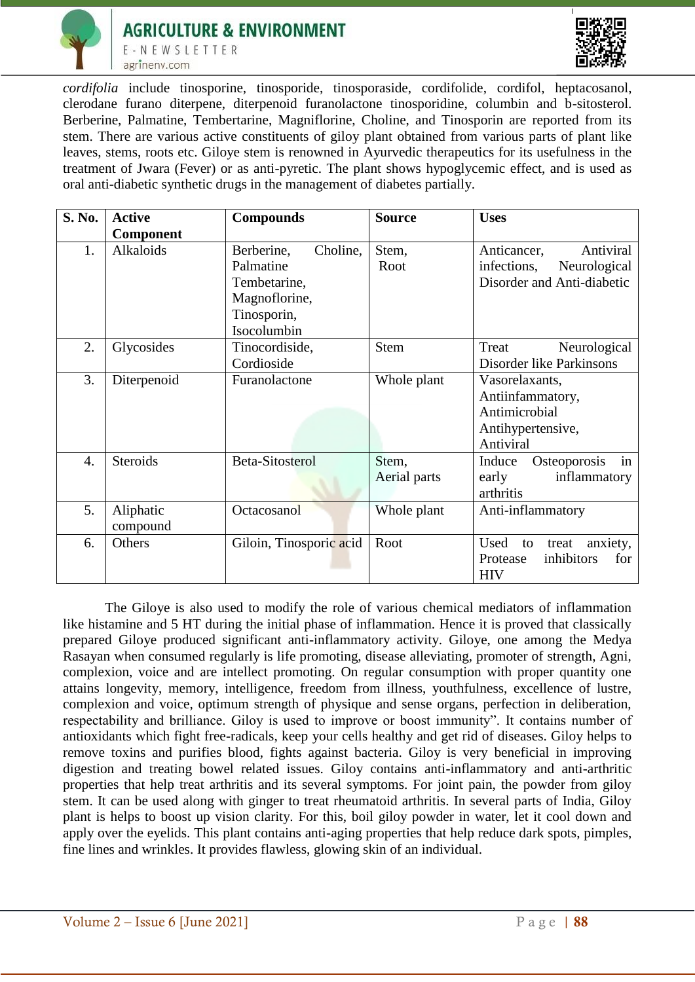



*cordifolia* include tinosporine, tinosporide, tinosporaside, cordifolide, cordifol, heptacosanol, clerodane furano diterpene, diterpenoid furanolactone tinosporidine, columbin and b-sitosterol. Berberine, Palmatine, Tembertarine, Magniflorine, Choline, and Tinosporin are reported from its stem. There are various active constituents of giloy plant obtained from various parts of plant like leaves, stems, roots etc. Giloye stem is renowned in Ayurvedic therapeutics for its usefulness in the treatment of Jwara (Fever) or as anti-pyretic. The plant shows hypoglycemic effect, and is used as oral anti-diabetic synthetic drugs in the management of diabetes partially.

| S. No. | <b>Active</b>   | <b>Compounds</b>        | <b>Source</b> | <b>Uses</b>                     |
|--------|-----------------|-------------------------|---------------|---------------------------------|
|        | Component       |                         |               |                                 |
| 1.     | Alkaloids       | Choline,<br>Berberine,  | Stem,         | Anticancer,<br>Antiviral        |
|        |                 | Palmatine               | Root          | infections,<br>Neurological     |
|        |                 | Tembetarine,            |               | Disorder and Anti-diabetic      |
|        |                 | Magnoflorine,           |               |                                 |
|        |                 | Tinosporin,             |               |                                 |
|        |                 | Isocolumbin             |               |                                 |
| 2.     | Glycosides      | Tinocordiside,          | <b>Stem</b>   | Treat<br>Neurological           |
|        |                 | Cordioside              |               | Disorder like Parkinsons        |
| 3.     | Diterpenoid     | Furanolactone           | Whole plant   | Vasorelaxants,                  |
|        |                 |                         |               | Antiinfammatory,                |
|        |                 |                         |               | Antimicrobial                   |
|        |                 |                         |               | Antihypertensive,               |
|        |                 |                         |               | Antiviral                       |
| 4.     | <b>Steroids</b> | <b>Beta-Sitosterol</b>  | Stem,         | Osteoporosis<br>Induce<br>in    |
|        |                 |                         | Aerial parts  | early<br>inflammatory           |
|        |                 |                         |               | arthritis                       |
| 5.     | Aliphatic       | Octacosanol             | Whole plant   | Anti-inflammatory               |
|        | compound        |                         |               |                                 |
| 6.     | Others          | Giloin, Tinosporic acid | Root          | Used<br>anxiety,<br>to<br>treat |
|        |                 |                         |               | inhibitors<br>for<br>Protease   |
|        |                 |                         |               | <b>HIV</b>                      |

The Giloye is also used to modify the role of various chemical mediators of inflammation like histamine and 5 HT during the initial phase of inflammation. Hence it is proved that classically prepared Giloye produced significant anti-inflammatory activity. Giloye, one among the Medya Rasayan when consumed regularly is life promoting, disease alleviating, promoter of strength, Agni, complexion, voice and are intellect promoting. On regular consumption with proper quantity one attains longevity, memory, intelligence, freedom from illness, youthfulness, excellence of lustre, complexion and voice, optimum strength of physique and sense organs, perfection in deliberation, respectability and brilliance. Giloy is used to improve or boost immunity". It contains number of antioxidants which fight free-radicals, keep your cells healthy and get rid of diseases. Giloy helps to remove toxins and purifies blood, fights against bacteria. Giloy is very beneficial in improving digestion and treating bowel related issues. Giloy contains anti-inflammatory and anti-arthritic properties that help treat arthritis and its several symptoms. For joint pain, the powder from giloy stem. It can be used along with ginger to treat rheumatoid arthritis. In several parts of India, Giloy plant is helps to boost up vision clarity. For this, boil giloy powder in water, let it cool down and apply over the eyelids. This plant contains anti-aging properties that help reduce dark spots, pimples, fine lines and wrinkles. It provides flawless, glowing skin of an individual.